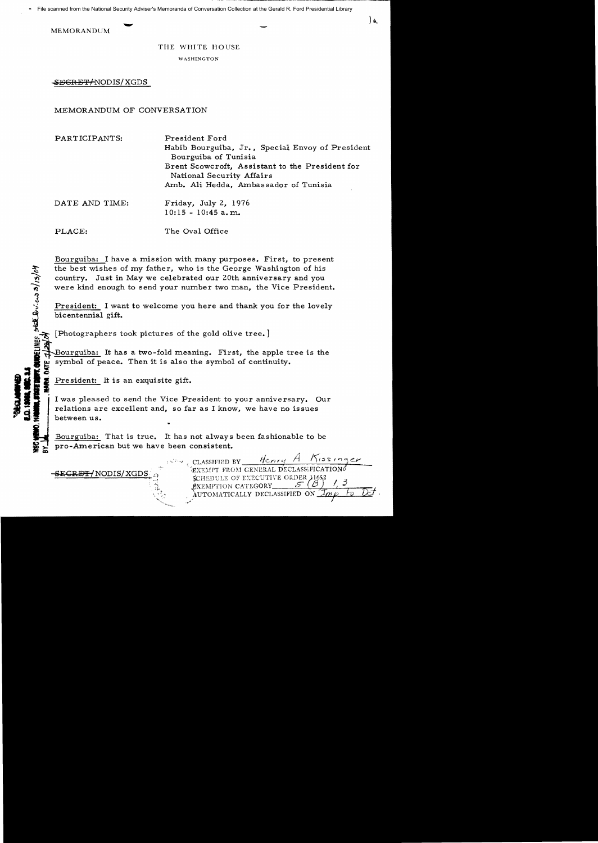File scanned from the National Security Adviser's Memoranda of Conversation Collection at the Gerald R. Ford Presidential Library

MEMORANDUM

THE WHITE HOUSE

 $\mathbf{A}$ 

WASHINGTON

~B6RB'P fNODIS/ XGDS

MEMORANDUM OF CONVERSATION

PART ICIPANTS: President Ford Habib Bourguiba, Jr., Special Envoy of President Bourguiba of Tunisia Brent Scowcroft, Assistant to the President for National Security Affairs Amb. Ali Hedda, Ambassador of Tunisia DATE AND TIME: Friday, July 2, 1976

PLACE: The Oval Office

Bourguiba: I have a mission with many purposes. First, to present the best wishes of my father, who is the George Washington of his country. Just in May we celebrated our 20th anniversary and you were kind enough to send your number two man, the Vice President.

 $10:15 - 10:45$  a.m.

President: I want to welcome you here and thank you for the lovely bicentennial gift.

 $[Photographers$  took pictures of the gold olive tree.]

Bourguiba: It has a two-fold meaning. First, the apple tree is the symbol of peace. Then it is also the symbol of continuity.

President: It is an exquisite gift.

**•**. I was pleased to send the Vice President to your anniversary. Our relations are excellent and, so far as I know, we have no is sues between us.

Bourguiba: That is true. It has not always been fashionable to be pro-American but we have been consistent.

: ",.y: , CLASSIFIED BY Ifen *yel A* /)1:; S' I" '1 *C'-y*

**\$CHEDULE OF EXECUTIVE ORDER 116** . \_.... \$XEMPTroN CATEGO R *Y\_\_*---'='D'---""(B~b\_-.J.\_r---..".:: AUTOMATICALLY DECLASSIFIED ON ....:::£-=.t..f...;~--'-><--~==

 $\overline{\text{EXEMPT}}$  FROM GENERAL DECLASSEFICATION

ther.cs

**12000, 0000, 215** 

**E.O. 136**<br>D. 1400000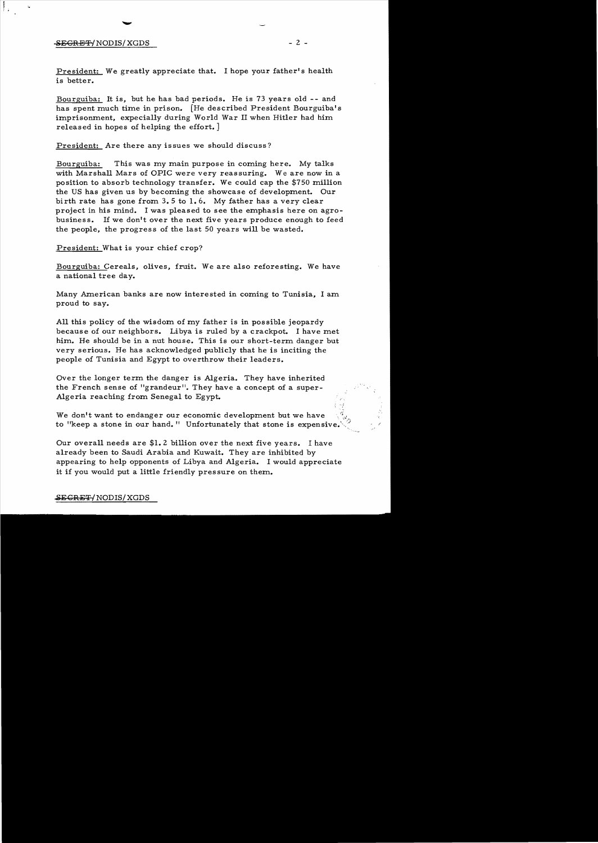### SEGRET/NODIS/XGDS - 2 -

President: We greatly appreciate that. I hope your father's health is better.

Bourguiba: It is, but he has bad periods. He is 73 years old -- and has spent much time in prison. [He described President Bourguiba's imprisonment, expecially during World War II when Hitler had him released in hopes of helping the effort. J

President: Are there any issues we should discuss?

Bourguiba: This was my main purpose in coming here. My talks with Marshall Mars of OPIC were very reassuring. We are now in a position to absorb technology transfer. We could cap the \$750 million the US has given us by becoming the showcase of development. Our birth rate has gone from  $3.5$  to  $1.6$ . My father has a very clear project in his mind. I was pleased to see the emphasis here on agrobusiness. If we don't over the next five years produce enough to feed the people, the progress of the last 50 years will be wasted.

President: What is your chief crop?

Bourguiba: Cereals, olives, fruit. We are also reforesting. We have a national tree day.

Many American banks are now interested in coming to Tunisia, I am proud to say.

All this policy of the wisdom of my father is in possible jeopardy because of our neighbors. Libya is ruled by a crackpot. I have met him. He should be in a nut house. This is our short-term danger but very serious. He has acknowledged publicly that he is inciting the people of Tunisia and Egypt to overthrow their leaders.

Over the longer term the danger is Algeria. They have inherited the French sense of "grandeur". They have a concept of a super-Algeria reaching from Senegal to Egypt.

We don't want to endanger our economic development but we have to "keep a stone in our hand." Unfortunately that stone is expensive.

Our overall needs are \$1. 2 billion over the next five years. I have already been to Saudi Arabia and Kuwait. They are inhibited by appearing to help opponents of Libya and Algeria. I would appreciate it if you would put a little friendly pressure on them.

#### S<del>ECRET/</del> NODIS/XGDS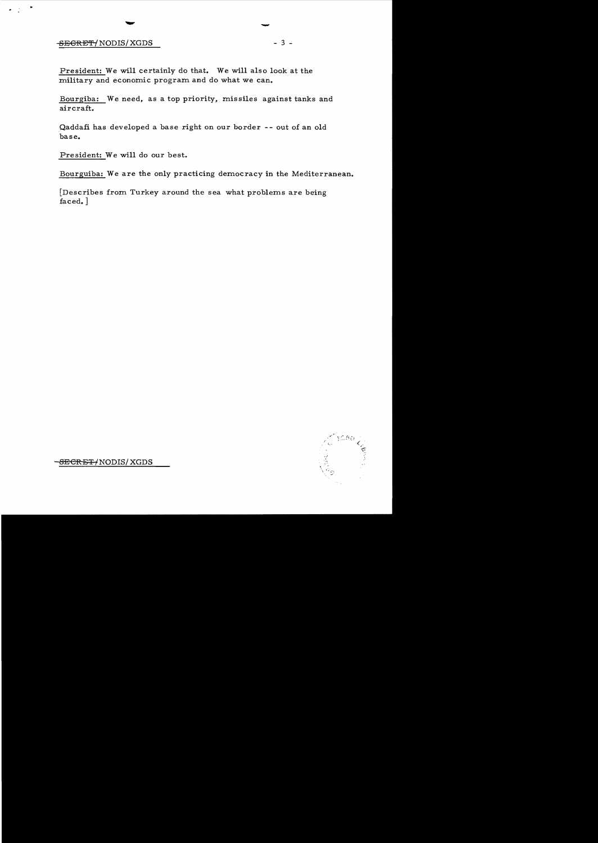# SEGRElflfNODIS/ XGDS - 3

..

President: We will certainly do that. We will also look at the military and economic program and do what we can.

Bourgiba: We need. as a top priority. missiles against tanks and aircraft.

Qaddafi has developed a base right on our border -- out of an old base.

President: We will do our best.

Bourguiba: We are the only practicing democracy in the Mediterranean.

[Describes from Turkey around the sea what problems are being faced. ]

SECRET/NODIS/XGDS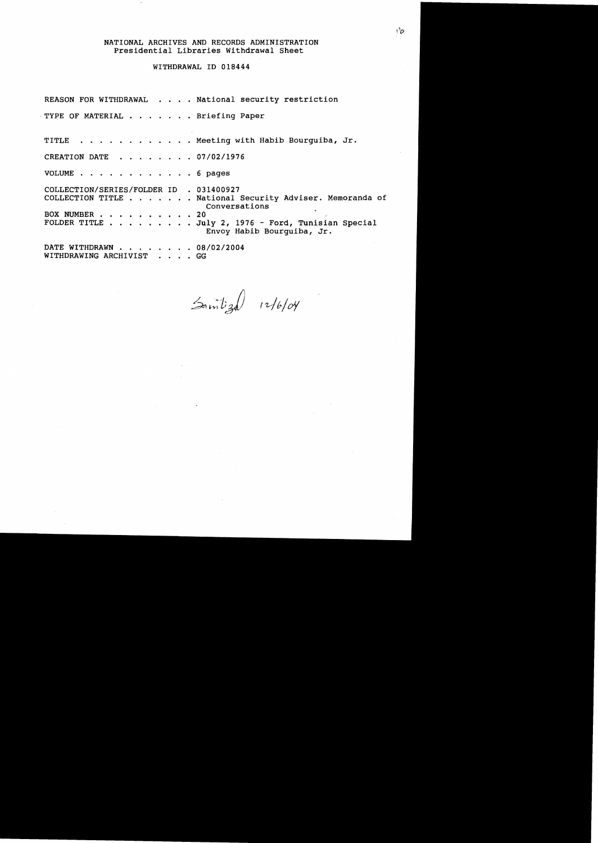## NATIONAL ARCHIVES AND RECORDS ADMINISTRATION Presidential Libraries Withdrawal Sheet

#### WITHDRAWAL ID 018444

REASON FOR WITHDRAWAL . . . . National security restriction TYPE OF MATERIAL . . . . . . Briefing Paper TITLE  $\dots$   $\dots$   $\dots$   $\dots$   $\dots$   $\dots$   $\dots$  Meeting with Habib Bourguiba, Jr. CREATION DATE ... 07/02/1976 VOLUME . . . . . 6 pages COLLECTION/SERIES/FOLDER ID . 031400927 COLLECTION TITLE . . . . . . National Security Adviser. Memoranda of Conversations<br>
. . 20 BOX NUMBER . . .<br>FOLDER TITLE . . .. July 2, 1976 - Ford, Tunisian Special Envoy Habib Bourguiba, Jr. DATE WITHDRAWN . . . . . . . 08/02/2004<br>WITHDRAWING ARCHIVIST . . . . GG WITHDRAWING ARCHIVIST

 $5$  milizard 12/6/04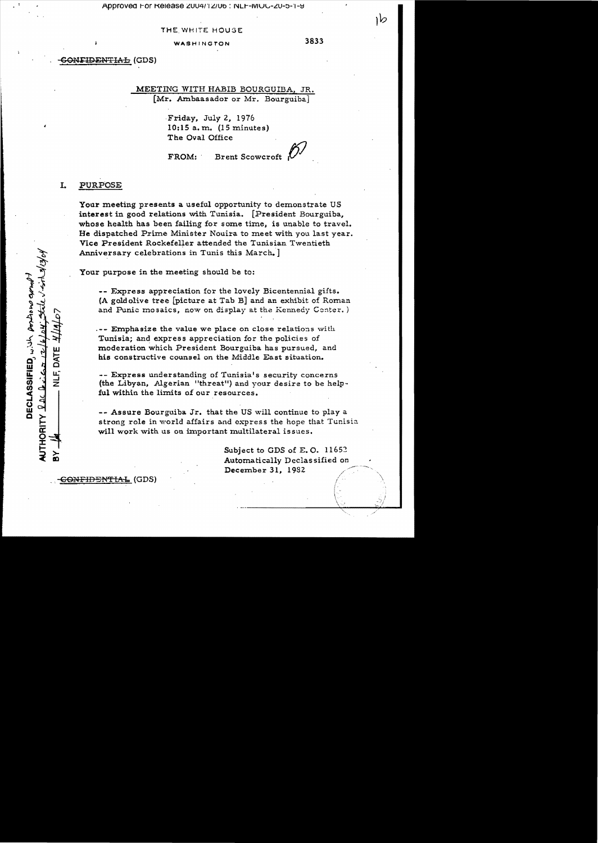Approved For Release 2004/12/06 : NLF-MOC-20-5-1-9

#### THE WHITE HOUSE

WASHINGTON

3833

SONFIDENTIAL (GDS)

MEETING WITH HABIB BOURGUIBA, JR. [Mr. Ambaasador or Mr. Bourguiba]

> Friday, July 2, 1976  $10:15$  a.m.  $(15 \text{ minutes})$ The Oval Office

Brent Scowcroft i FROM:

#### I. **PURPOSE**

Your meeting presents a useful opportunity to demonstrate US interest in good relations with Tunisia. [President Bourguiba. whose health has been failing for some time, is unable to travel. He dispatched Prime Minister Nouira to meet with you last year. Vice President Rockefeller attended the Tunisian Twentieth Anniversary celebrations in Tunis this March. ]

Your purpose in the meeting should be to:

-- Express appreciation for the lovely Bicentennial gifts. (A goldolive tree [picture at Tab B] and an exhibit of Roman and Punic mosaics, now on display at the Kennedy Center.)

.-- Emphasize the value we place on close relations with Tunisia; and express appreciation for the policies of moderation which President Bourguiba has pursued, and his constructive counsel on the Middle East situation.

-- Express understanding of Tunisia's security concerns (the Libyan, Algerian "threat") and your desire to be helpful within the limits of our resources.

-- Assure Bourguiba Jr. that the US will continue to play a strong role in world affairs and express the hope that Tunisia will work with us on important multilateral issues.

> Subject to GDS of  $E$ ,  $O$ ,  $11652$ Automatically Declassified on December 31, 1982

DECLASSIFIED, with postors opin? DATE I<br>Li<br>Z

<del>CONFIDENTIAL</del> (GDS)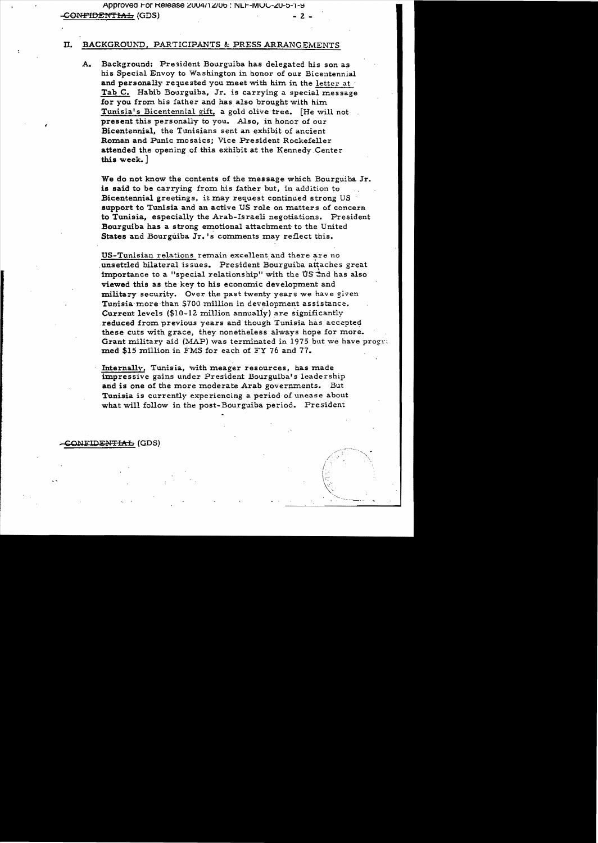Approved For Release 2004/12/06: NLF-MOC-20-5-1-9 <del>SONFIDENTIAL (</del>GDS) -2-

#### II. BACKGROUND, PARTICIPANTS & PRESS ARRANGEMENTS

Background: President Bourguiba has delegated his son as  $A_{-}$ his Special Envoy to Washington in honor of our Bicentennial and personally requested you meet with him in the letter at Tab C. Habib Bourguiba, Jr. is carrying a special message for you from his father and has also brought with him Tunisia's Bicentennial gift, a gold olive tree. [He will not present this personally to you. Also, in honor of our Bicentennial, the Tunisians sent an exhibit of ancient Roman and Punic mosaics: Vice President Rockefeller attended the opening of this exhibit at the Kennedy Center this week.

We do not know the contents of the message which Bourguiba Jr. is said to be carrying from his father but, in addition to Bicentennial greetings, it may request continued strong US support to Tunisia and an active US role on matters of concern to Tunisia, especially the Arab-Israeli negotiations. President Bourguiba has a strong emotional attachment to the United States and Bourguiba Jr. 's comments may reflect this.

US-Tunisian relations remain excellent and there are no unsettled bilateral issues. President Bourguiba attaches great importance to a "special relationship" with the US and has also viewed this as the key to his economic development and military security. Over the past twenty years we have given Tunisia more than \$700 million in development assistance. Current levels (\$10-12 million annually) are significantly reduced from previous years and though Tunisia has accepted these cuts with grace, they nonetheless always hope for more. Grant military aid (MAP) was terminated in 1975 but we have progra med \$15 million in FMS for each of FY 76 and 77.

Internally, Tunisia, with meager resources, has made impressive gains under President Bourguiba's leadership and is one of the more moderate Arab governments. But Tunisia is currently experiencing a period of unease about what will follow in the post-Bourguiba period. President

**CONFIDENTIAL (GDS)**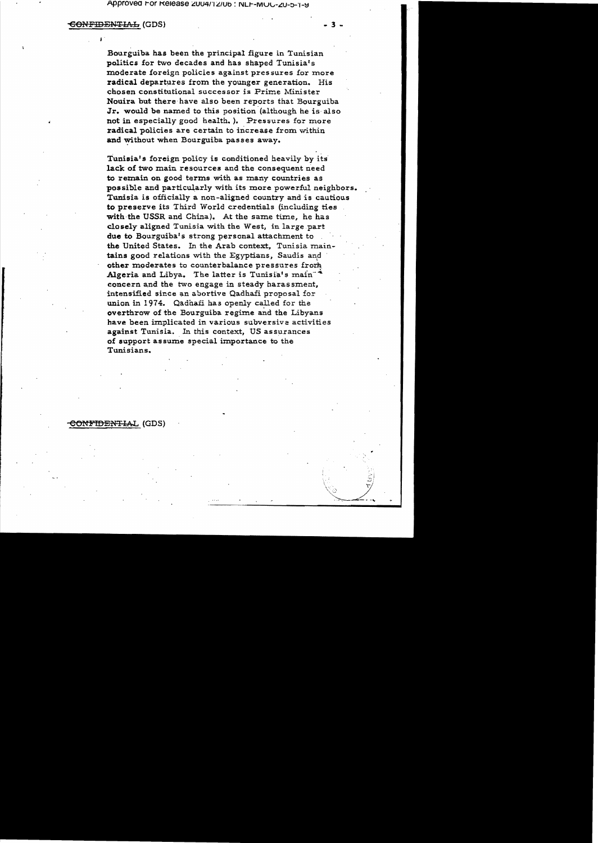## CONFIDENTIAL (GDS)

Bourguiba has been the principal figure in Tunisian politics for two decades and has shaped Tunisia's moderate foreign policies against pressures for more radical departures from the younger generation. His chosen constitutional successor is Prime Minister Nouira but there have also been reports that Bourguiba Jr. would be named to this position (although he is also not in especially good health.). Pressures for more radical policies are certain to increase from within and without when Bourguiba passes away.

Tunisia's foreign policy is conditioned heavily by its lack of two main resources and the consequent need to remain on good terms with as many countries as possible and particularly with its more powerful neighbors. Tunisia is officially a non-aligned country and is cautious to preserve its Third World credentials (including ties with the USSR and China). At the same time, he has closely aligned Tunisia with the West, in large part due to Bourguiba's strong personal attachment to the United States. In the Arab context, Tunisia maintains good relations with the Egyptians, Saudis and other moderates to counterbalance pressures from Algeria and Libya. The latter is Tunisia's main<sup>-\*</sup> concern and the two engage in steady harassment, intensified since an abortive Qadhafi proposal for union in 1974. Qadhafi has openly called for the overthrow of the Bourguiba regime and the Libyans have been implicated in various subversive activities against Tunisia. In this context, US assurances of support assume special importance to the Tunisians.

## <del>CONFIDENTIA</del>L (GDS)

 $\mathbf{3}$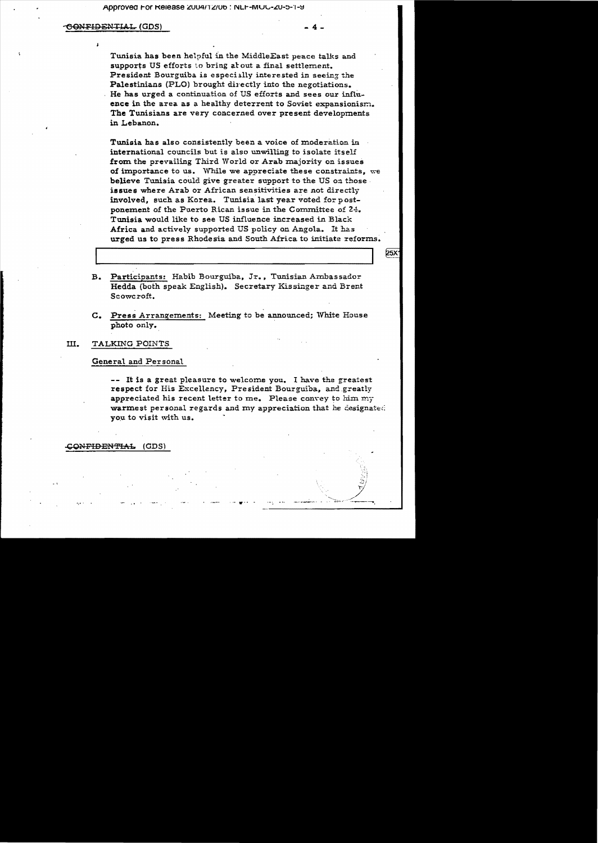#### CONFIDENTIAL (GDS)

Tunisia has been helpful in the MiddleEast peace talks and supports US efforts to bring about a final settlement. President Bourguiba is especially interested in seeing the Palestinians (PLO) brought directly into the negotiations. He has urged a continuation of US efforts and sees our influence in the area as a healthy deterrent to Soviet expansionism. The Tunisians are very concerned over present developments in Lebanon.

Tunisia has also consistently been a voice of moderation in international councils but is also unwilling to isolate itself from the prevailing Third World or Arab majority on issues of importance to us. While we appreciate these constraints, we believe Tunisia could give greater support to the US on those. issues where Arab or African sensitivities are not directly involved, such as Korea. Tunisia last year voted for postponement of the Puerto Rican issue in the Committee of 24. Tunisia would like to see US influence increased in Black Africa and actively supported US policy on Angola. It has urged us to press Rhodesia and South Africa to initiate reforms.

- в. Participants: Habib Bourguiba, Jr., Tunisian Ambassador Hedda (both speak English). Secretary Kissinger and Brent Scowcroft.
- C. Press Arrangements: Meeting to be announced; White House photo only.

#### Ш. TALKING POINTS

### General and Personal

-- It is a great pleasure to welcome you. I have the greatest respect for His Excellency, President Bourguiba, and greatly appreciated his recent letter to me. Please convey to him my warmest personal regards and my appreciation that he designated you to visit with us.

ONFIDENTIAL (GDS)

25X<sup>.</sup>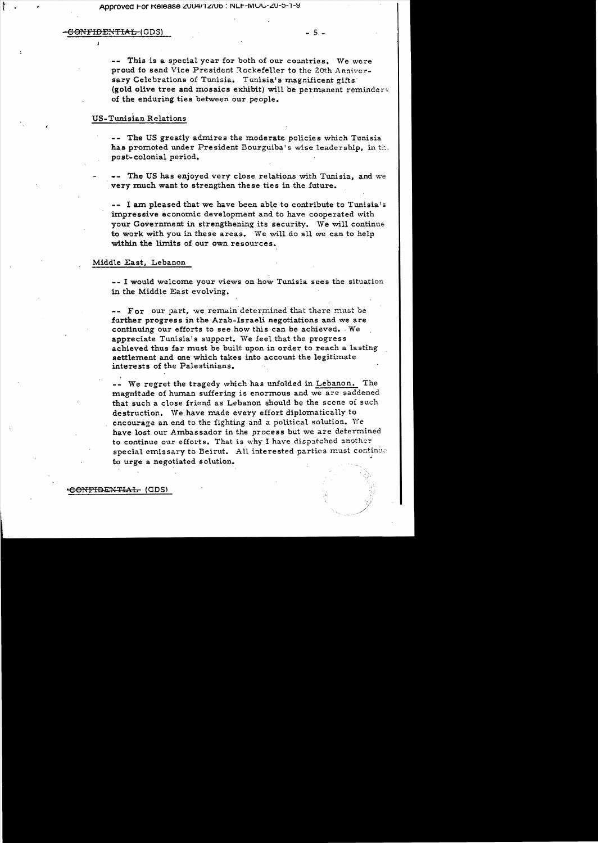**CONFIDENTIAL** (GDS)

-- This is a special year for both of our countries. We were proud to send Vice President Rockefeller to the 20th Anniversary Celebrations of Tunisia. Tunisia's magnificent gifts. (gold olive tree and mosaics exhibit) will be permanent reminders of the enduring ties between our people.

 $-5 -$ 

## **US-Tunisian Relations**

-- The US greatly admires the moderate policies which Tunisia has promoted under President Bourguiba's wise leadership, in the post-colonial period.

The US has enjoyed very close relations with Tunisia, and we very much want to strengthen these ties in the future.

-- I am pleased that we have been able to contribute to Tunisia's impressive economic development and to have cooperated with your Government in strengthening its security. We will continue to work with you in these areas. We will do all we can to help within the limits of our own resources.

#### Middle East, Lebanon

-- I would welcome your views on how Tunisia sees the situation in the Middle East evolving.

-- For our part, we remain determined that there must be further progress in the Arab-Israeli negotiations and we are continuing our efforts to see how this can be achieved. We appreciate Tunisia's support. We feel that the progress achieved thus far must be built upon in order to reach a lasting settlement and one which takes into account the legitimate interests of the Palestinians.

-- We regret the tragedy which has unfolded in Lebanon. The magnitude of human suffering is enormous and we are saddened that such a close friend as Lebanon should be the scene of such destruction. We have made every effort diplomatically to encourage an end to the fighting and a political solution. We have lost our Ambassador in the process but we are determined to continue our efforts. That is why I have dispatched another special emissary to Beirut. All interested parties must continue to urge a negotiated solution.

<del>CONFIDENTIAL</del> (GDS)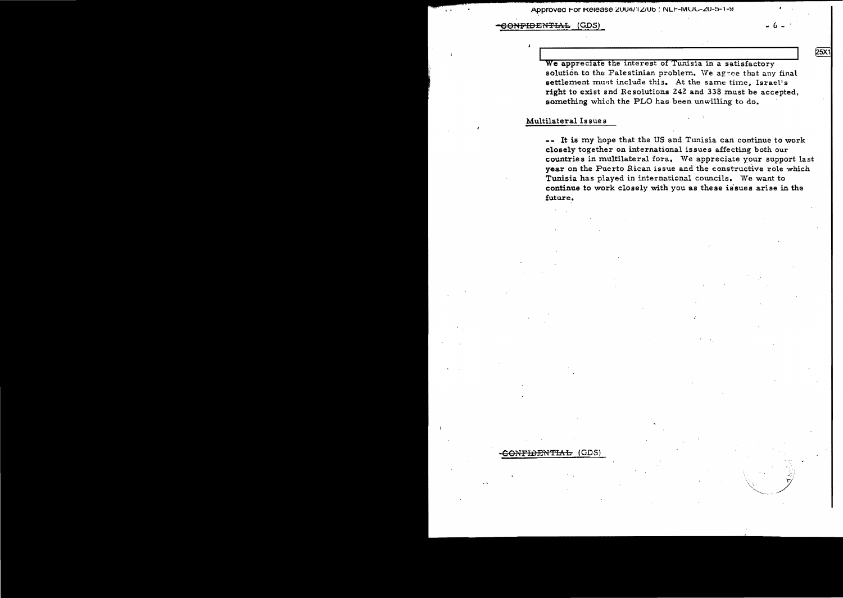## S<del>ONFIDENTIAL</del> (GDS)

25X1

We appreciate the interest of Tunisia in a satisfactory solution to the Palestinian problem. We agree that any final settlement must include this. At the same time, Israel's right to exist and Resolutions 242 and 338 must be accepted, something which the PLO has been unwilling to do.

## Multilateral Issues

(GDS)

<del>SONFIDENTIAL</del>

-- It is my hope that the US and Tunisia can continue to work closely together on international issues affecting both our countries in multilateral fora. We appreciate your support last year on the Puerto Rican issue and the constructive role which Tunisia has played in international councils. We want to continue to work closely with you as these issues arise in the future.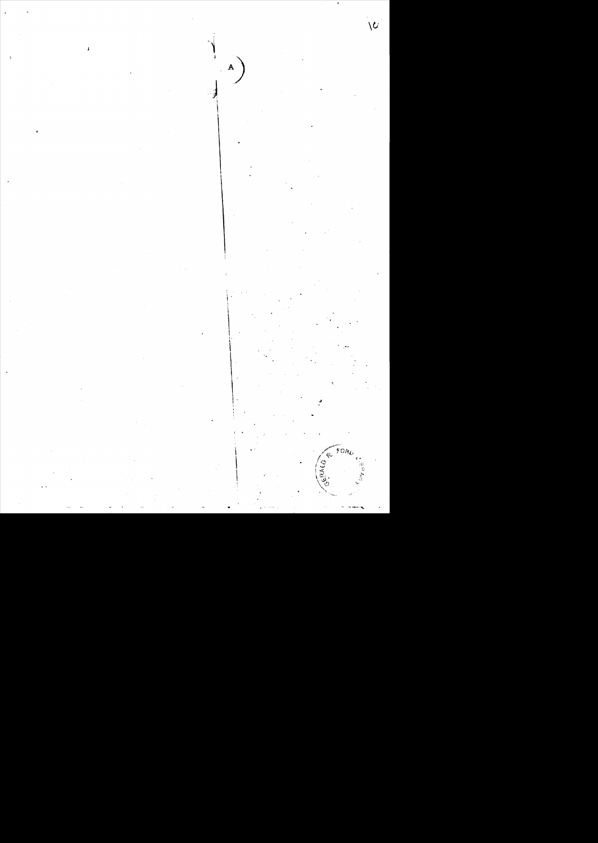

Ģ,

CONSIDER

 $\setminus U$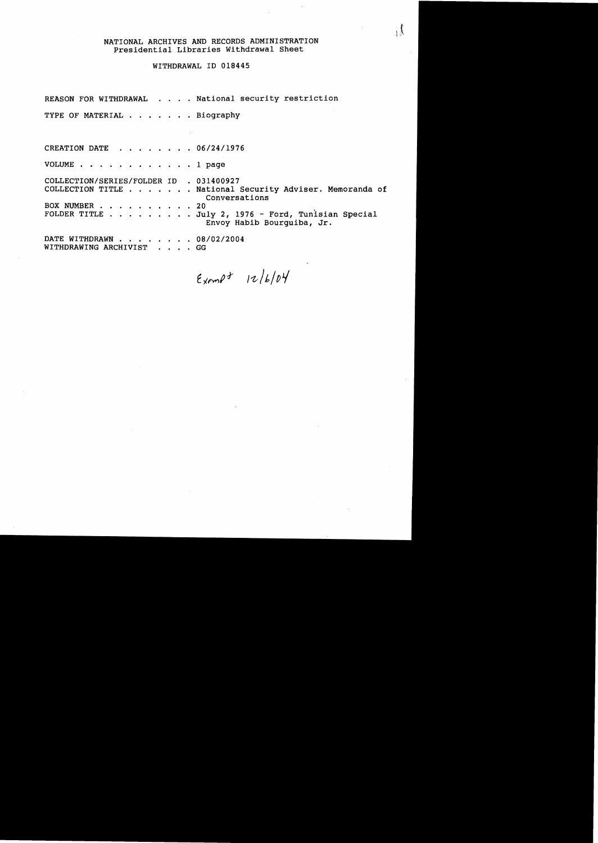## NATIONAL ARCHIVES AND RECORDS ADMINISTRATION Presidential Libraries Withdrawal Sheet

, Լ

#### WITHDRAWAL ID 018445

REASON FOR WITHDRAWAL . . . . National security restriction TYPE OF MATERIAL . . . . . . Biography CREATION DATE  $\ldots$   $\ldots$   $\ldots$  06/24/1976 . . . . . . . . . . . . 1 page COLLECTION/SERIES/FOLDER ID . 031400927 COLLECTION/SERIES/FOLDER ID . 031400927<br>COLLECTION TITLE . . . . . . . National Security Adviser. Memoranda of BOX NUMBER . . . EOX NUMBER . . . . . . . . . . 20<br>FOLDER TITLE . . . . . . . . July 2, 1976 - Ford, Tunisian Special Envoy Habib Bourguiba, Jr. DATE WITHDRAWN . . . . . . . 08/02/2004<br>WITHDRAWING ARCHIVIST . . . GG WITHDRAWING ARCHIVIST . . .

 $Exempl + 1216/04$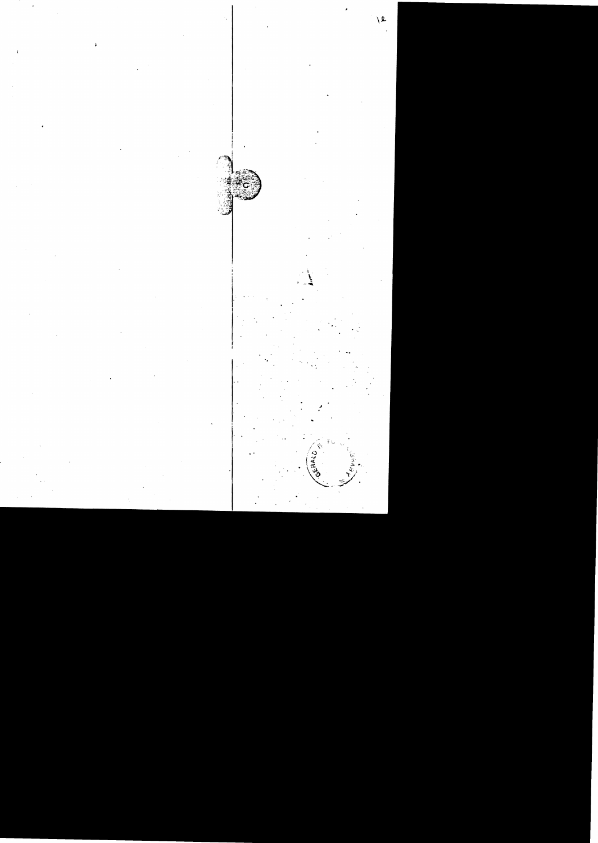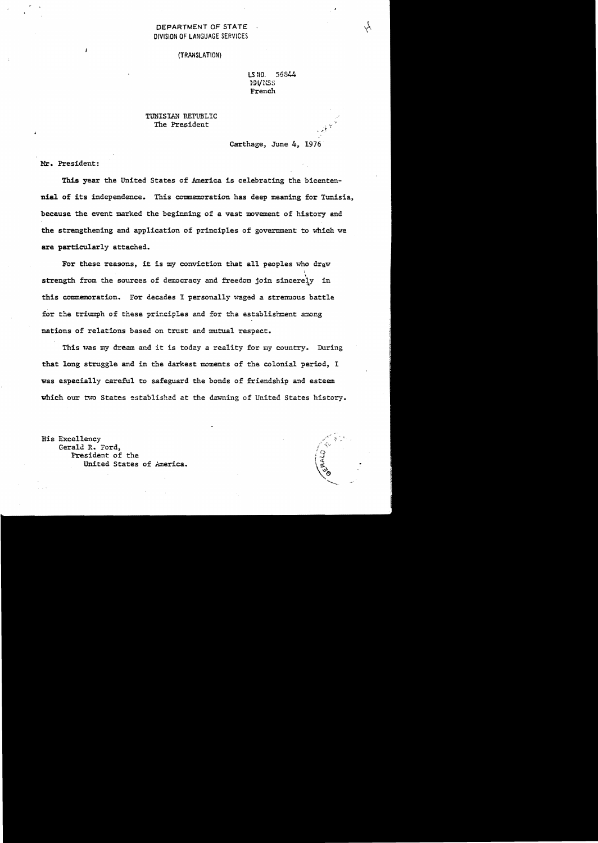# DEPARTMENT OF STATE DIVISION OF LANGUAGE SERVICES

#### (TRANSLATION)

**LS NO.** 56844 MM/MSS French

## TUNISIAN REPUBLIC The President

Carthage, June 4, 1976

Mr. President:

Î.

This year the United States of America is celebrating the bicentennial of its independence. This commemoration has deep meaning for Tunisia, because the event marked the beginning of a vast movement of history and the strengthening and application of principles of government to which we are particularly attached.

For these reasons, it is my conviction that all peoples who draw strength from the sources of democracy and freedom join sincerely in this commemoration. For decades I personally waged a strenuous battle for the triumph of these principles and for the establishment among nations of relations based on trust and mutual respect.

This was my dream and it is today a reality for my country. During that long struggle and in the darkest moments of the colonial period, I was especially careful to safeguard the bonds of friendship and esteem which our two States established at the dawning of United States history.

His Excellency Gerald R. Ford. President of the United States of America.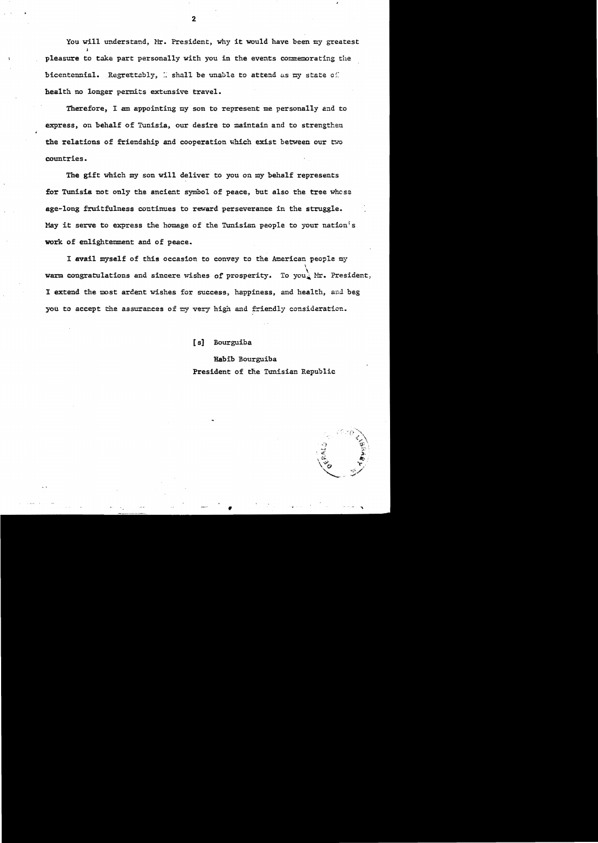You will understand, Mr. President, why it would have been my greatest pleasure to take part personally with you in the events commemorating the bicentennial. Regrettably,  $\Box$  shall be unable to attend as my state of health no longer permits extensive travel.

Therefore, I am appointing my son to represent me personally and to express, on behalf of Tunisia, our desire to maintain and to strengthen the relations of friendship and cooperation which exist between our two countries.

The gift which my son will deliver to you on my behalf represents for Tunisia not only the ancient symbol of peace, but also the tree whese age-long fruitfulness continues to reward perseverance in the struggle. May it serve to express the homage of the Tunisian people to your nation  $s$ work of enlighterment and of peace.

I avail myself of this occasion to convey to the American people my \ To you, Mr. President. warm congratulations and sincere wishes of prosperity. I extend the most ardent wishes for success, happiness, and health, and beg you to accept the assurances of my very high and friendly consideration.

[sl Bourguiba

Habib Bourguiba President of the Tunisian Republic



2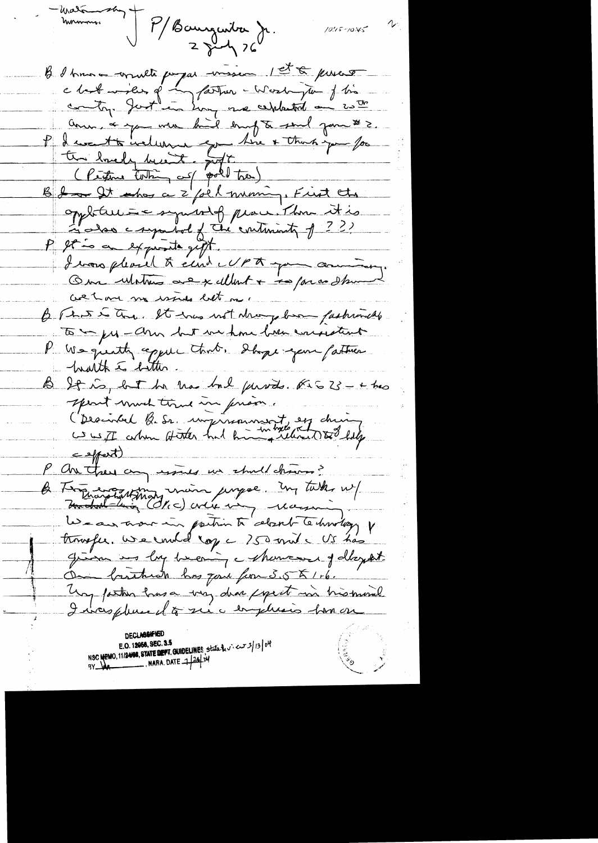monument de P/Bourgenbachter de  $10!15 - 10!45$ 

B. Ikma - voulti papas messen l'et à prise c bart miles par partier - Workington f bis<br>control. Just in Jung me ceptantal and 25th P d'exercit de le meure en tire + thanh que for ( Perfine Tothing and poll tres) B I am It who a 2 foll mining, First Cts oppteurs = symmetry place Thom it is P It is an expecte gift. I vous pleasel tréend MP trope comment One ulation avec ullent + is para stammed celan me vinds let me B That is the est mes not drange boam fastronicht To my per-com but we have been consistent P We quintly apple that, shope your father health I bitter B It is, but he has bal purids. Ris 23 - + has speart much time in prison. C'Descival B. Sr. imprisonment, en china<br><u>Le vert</u> certain blotter had binne illused to belge  $=$  ext) P an there any usual us should chosen? B. Thoughouthing moins juryal. In take w/ Les aux order in parties to celant te huilley V terroefer. We ended soy a 250 mil à US has given in lay treating a showcare of day at On barthian has gone from 3.5 K/rb. Ung father has a very dear / spect in his moral I vices pluse el to sei a emplesació han on

NSC NEMO, 11/24/08, STATE DEVI. CUIDELINES, State h v cur 3/13/04<br>3Y MARIE MONTE, NARA. DATE 1/24/24

 $\begin{matrix} \mathbb{S} & \mathbb{S}^1 \ \mathbb{S}^1 & \mathbb{S}^1 \end{matrix}$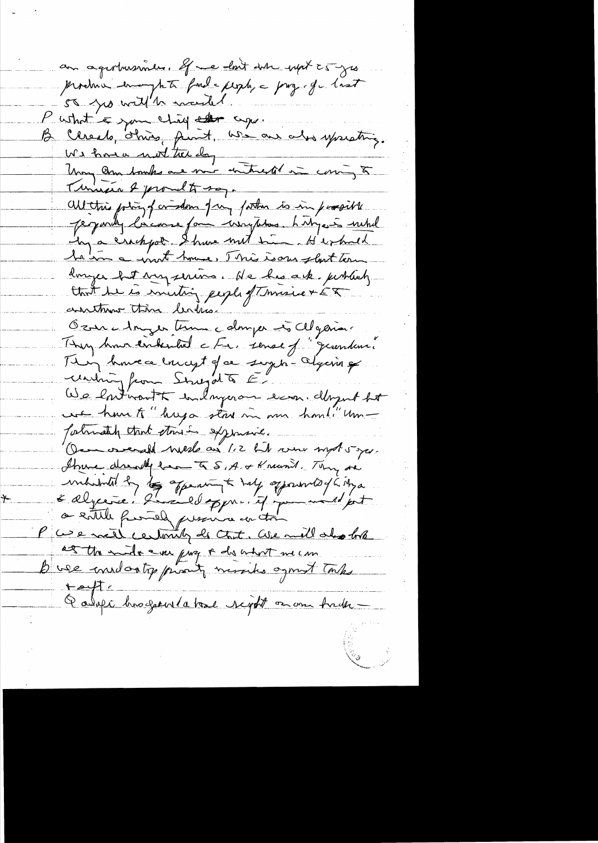an aquiturement. If we don't done used it you produce enoughts fund a people, a progrape hast 50 yes will't would Pushot & you ching the cype. B Clearly this, first, we are also youthing. We have most tree day Turnen & promet say. all this policy of cristom of my father to in possible Jegardy liseurse form wrightons. Litingers withd My a crackfort I have met in Herhald la nom a just house, This is our sloot ter danger but very jerrins. He his ack perhach that the is muting people of Thresise + EX author thin lendes. Orain Monseo temme de disponsions They have entered a Fe, sense of "grandemin They have a concept dae sigen-algering uniting from Stregat to E. We low want to endowerom even. daynt hot we have to "less star in our houl"umfortunately that stone is exposice. Occasional week as 1.2 hit were myt 5 years Struce diseally las 5, A. + Howard. They are mésintil & les opportunes to try opportunités (impare la deposition) as the mide ever guy & de what we can Bure midostry pronty murates agent Tonks  $+24$ Q adopt hno gear la tose right on one trader -